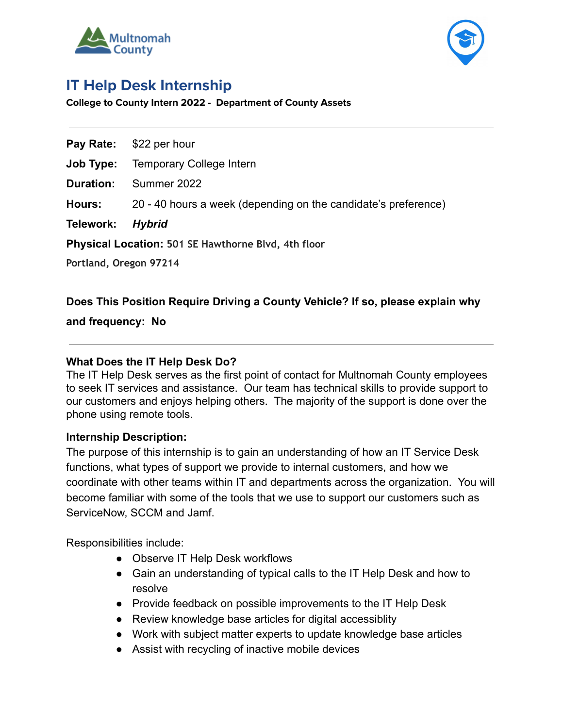



# **IT Help Desk Internship**

**College to County Intern 2022 - Department of County Assets**

**Pay Rate:** \$22 per hour

**Job Type:** Temporary College Intern

**Duration:** Summer 2022

**Hours:** 20 - 40 hours a week (depending on the candidate's preference)

**Telework:** *Hybrid*

**Physical Location: 501 SE Hawthorne Blvd, 4th floor**

**Portland, Oregon 97214**

## **Does This Position Require Driving a County Vehicle? If so, please explain why**

**and frequency: No**

## **What Does the IT Help Desk Do?**

The IT Help Desk serves as the first point of contact for Multnomah County employees to seek IT services and assistance. Our team has technical skills to provide support to our customers and enjoys helping others. The majority of the support is done over the phone using remote tools.

#### **Internship Description:**

The purpose of this internship is to gain an understanding of how an IT Service Desk functions, what types of support we provide to internal customers, and how we coordinate with other teams within IT and departments across the organization. You will become familiar with some of the tools that we use to support our customers such as ServiceNow, SCCM and Jamf.

Responsibilities include:

- Observe IT Help Desk workflows
- Gain an understanding of typical calls to the IT Help Desk and how to resolve
- Provide feedback on possible improvements to the IT Help Desk
- Review knowledge base articles for digital accessiblity
- Work with subject matter experts to update knowledge base articles
- Assist with recycling of inactive mobile devices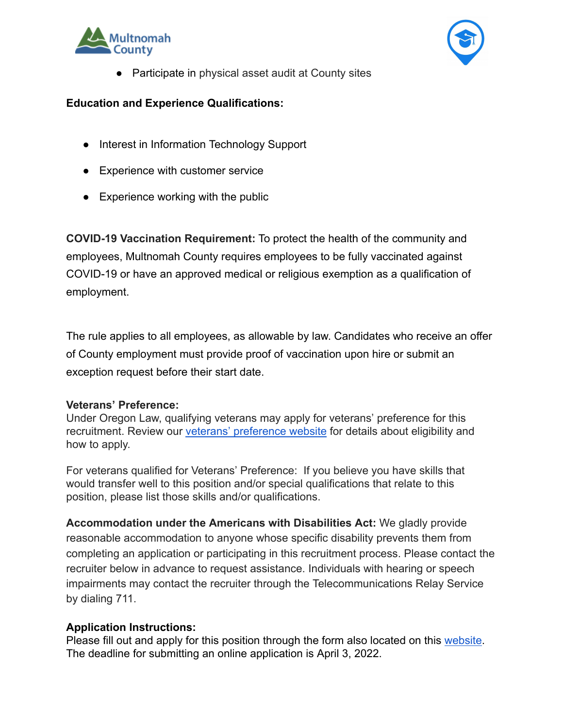



● Participate in physical asset audit at County sites

## **Education and Experience Qualifications:**

- Interest in Information Technology Support
- Experience with customer service
- Experience working with the public

**COVID-19 Vaccination Requirement:** To protect the health of the community and employees, Multnomah County requires employees to be fully vaccinated against COVID-19 or have an approved medical or religious exemption as a qualification of employment.

The rule applies to all employees, as allowable by law. Candidates who receive an offer of County employment must provide proof of vaccination upon hire or submit an exception request before their start date.

#### **Veterans' Preference:**

Under Oregon Law, qualifying veterans may apply for veterans' preference for this recruitment. Review our [veterans' preference website](http://multco.us/jobs/veterans-preference-information-and-instructions) for details about eligibility and how to apply.

For veterans qualified for Veterans' Preference: If you believe you have skills that would transfer well to this position and/or special qualifications that relate to this position, please list those skills and/or qualifications.

**Accommodation under the Americans with Disabilities Act:** We gladly provide reasonable accommodation to anyone whose specific disability prevents them from completing an application or participating in this recruitment process. Please contact the recruiter below in advance to request assistance. Individuals with hearing or speech impairments may contact the recruiter through the Telecommunications Relay Service by dialing 711.

#### **Application Instructions:**

Please fill out and apply for this position through the form also located on this [website](https://multco.us/college-county). The deadline for submitting an online application is April 3, 2022.